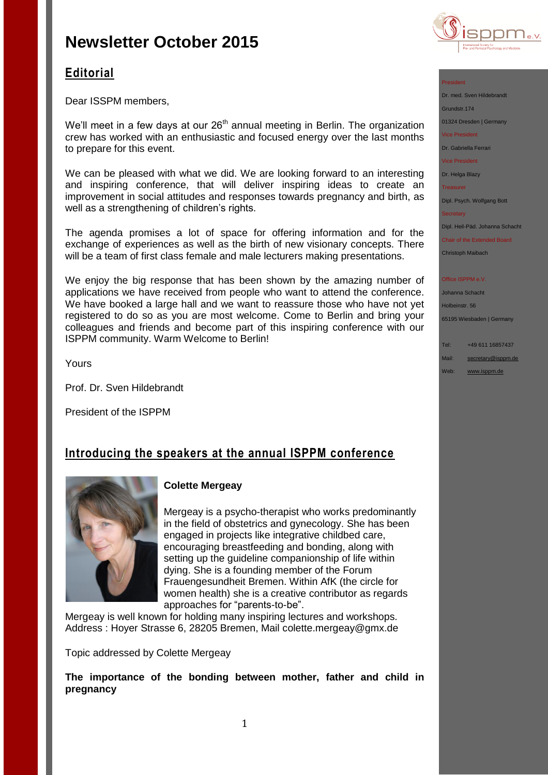

# **Editorial**

Dear ISSPM members,

We'll meet in a few days at our  $26<sup>th</sup>$  annual meeting in Berlin. The organization crew has worked with an enthusiastic and focused energy over the last months to prepare for this event.

We can be pleased with what we did. We are looking forward to an interesting and inspiring conference, that will deliver inspiring ideas to create an improvement in social attitudes and responses towards pregnancy and birth, as well as a strengthening of children's rights.

The agenda promises a lot of space for offering information and for the exchange of experiences as well as the birth of new visionary concepts. There will be a team of first class female and male lecturers making presentations.

We enjoy the big response that has been shown by the amazing number of applications we have received from people who want to attend the conference. We have booked a large hall and we want to reassure those who have not yet registered to do so as you are most welcome. Come to Berlin and bring your colleagues and friends and become part of this inspiring conference with our ISPPM community. Warm Welcome to Berlin!

Yours

Prof. Dr. Sven Hildebrandt

President of the ISPPM

## **Introducing the speakers at the annual ISPPM conference**



### **Colette Mergeay**

Mergeay is a psycho-therapist who works predominantly in the field of obstetrics and gynecology. She has been engaged in projects like integrative childbed care, encouraging breastfeeding and bonding, along with setting up the guideline companionship of life within dying. She is a founding member of the Forum Frauengesundheit Bremen. Within AfK (the circle for women health) she is a creative contributor as regards approaches for "parents-to-be".

Mergeay is well known for holding many inspiring lectures and workshops. Address : Hoyer Strasse 6, 28205 Bremen, Mail [colette.mergeay@gmx.de](https://3c.web.de/mail/client/mail/mailto;jsessionid=3B4AF1FECD5575C4F0AA5D34E60BA12A-n3.bs58b?to=colette.mergeay%40gmx.de)

Topic addressed by Colette Mergeay

**The importance of the bonding between mother, father and child in pregnancy**

#### President

Dr. med. Sven Hildebrandt Grundstr.174 01324 Dresden | Germany Vice President

Dr. Gabriella Ferrari

Vice President

Dr. Helga Blazy

Treasurer

Dipl. Psych. Wolfgang Bott

**Secretary** 

Dipl. Heil-Päd. Johanna Schacht

Chair of the Extended Board Christoph Maibach

#### Office ISPPM e.V.

Johanna Schacht Holbeinstr. 56 65195 Wiesbaden | Germany

Tel: +49 611 16857437 Mail: [secretary@isppm.de](mailto:secretary@isppm.de)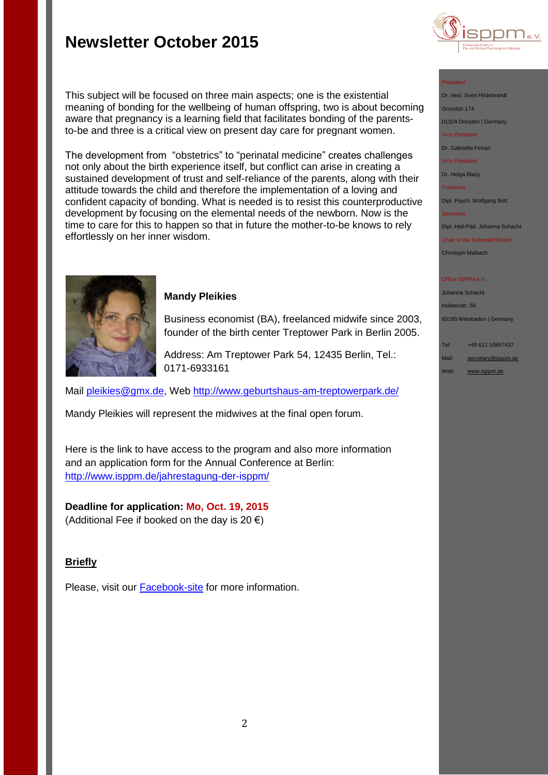

#### President

Dr. med. Sven Hildebrandt Grundstr.174 01324 Dresden | Germany

Vice President

Dr. Gabriella Ferrari

Vice President

Dr. Helga Blazy

Treasurer

Dipl. Psych. Wolfgang Bott

**Secretary** 

Dipl. Heil-Päd. Johanna Schacht

Chair of the Extended Board Christoph Maibach

#### **Office ISPPM e.V**

Johanna Schacht Holbeinstr. 56 65195 Wiesbaden | Germany

Tel: +49 611 16857437

- Mail: [secretary@isppm.de](mailto:secretary@isppm.de)
- Web: [www.isppm.de](http://www.isppm.de/)

effortlessly on her inner wisdom.

### **Mandy Pleikies**

Business economist (BA), freelanced midwife since 2003, founder of the birth center Treptower Park in Berlin 2005.

Address: Am Treptower Park 54, 12435 Berlin, Tel.: 0171-6933161

Mail [pleikies@gmx.de,](mailto:pleikies@gmx.de) Web<http://www.geburtshaus-am-treptowerpark.de/>

This subject will be focused on three main aspects; one is the existential

meaning of bonding for the wellbeing of human offspring, two is about becoming aware that pregnancy is a learning field that facilitates bonding of the parentsto-be and three is a critical view on present day care for pregnant women.

The development from "obstetrics" to "perinatal medicine" creates challenges not only about the birth experience itself, but conflict can arise in creating a sustained development of trust and self-reliance of the parents, along with their attitude towards the child and therefore the implementation of a loving and confident capacity of bonding. What is needed is to resist this counterproductive development by focusing on the elemental needs of the newborn. Now is the time to care for this to happen so that in future the mother-to-be knows to rely

Mandy Pleikies will represent the midwives at the final open forum.

Here is the link to have access to the program and also more information and an application form for the Annual Conference at Berlin: <http://www.isppm.de/jahrestagung-der-isppm/>

**Deadline for application: Mo, Oct. 19, 2015** (Additional Fee if booked on the day is 20  $\epsilon$ )

## **Briefly**

Please, visit our **[Facebook-site](https://www.facebook.com/pages/ISPPM-eV/124066644364106)** for more information.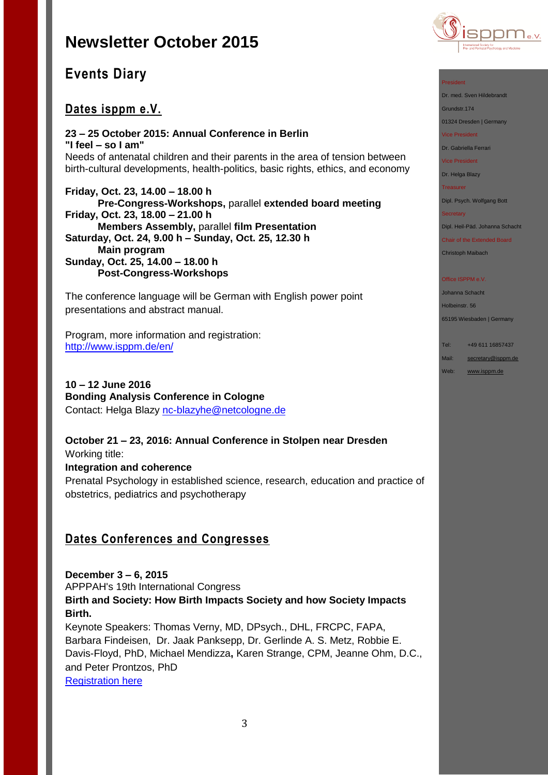

# **Events Diary**

# **Dates isppm e.V.**

**23 – 25 October 2015: Annual Conference in Berlin "I feel – so I am"** Needs of antenatal children and their parents in the area of tension between birth-cultural developments, health-politics, basic rights, ethics, and economy

**Friday, Oct. 23, 14.00 – 18.00 h Pre-Congress-Workshops,** parallel **extended board meeting Friday, Oct. 23, 18.00 – 21.00 h Members Assembly,** parallel **film Presentation Saturday, Oct. 24, 9.00 h – Sunday, Oct. 25, 12.30 h Main program Sunday, Oct. 25, 14.00 – 18.00 h Post-Congress-Workshops**

The conference language will be German with English power point presentations and abstract manual.

Program, more information and registration: <http://www.isppm.de/en/>

**10 – 12 June 2016 Bonding Analysis Conference in Cologne** Contact: Helga Blazy [nc-blazyhe@netcologne.de](mailto:nc-blazyhe@netcologne.de)

**October 21 – 23, 2016: Annual Conference in Stolpen near Dresden** Working title:

**Integration and coherence** Prenatal Psychology in established science, research, education and practice of obstetrics, pediatrics and psychotherapy

# **Dates Conferences and Congresses**

**December 3 – 6, 2015** APPPAH's 19th International Congress **Birth and Society: How Birth Impacts Society and how Society Impacts Birth.** Keynote Speakers: Thomas Verny, MD, DPsych., DHL, FRCPC, FAPA, Barbara Findeisen, Dr. Jaak Panksepp, Dr. Gerlinde A. S. Metz, Robbie E. Davis-Floyd, PhD, Michael Mendizza**,** Karen Strange, CPM, Jeanne Ohm, D.C., and Peter Prontzos, PhD

[Registration here](http://r20.rs6.net/tn.jsp?f=001ow1wkvozei_88VPX53sV2VFa_ZuxEIVEKa01uLsN1mbdQzyyQdhs_FXedW1fhcbR0cAnBWKAa58XC3PwfiugTa1u-MPUS6Vonsz2fJNfQoB35pjIsF_7lD1CN_qw8TKu7v5JAd5plpwt_sJH1Yde9EazKKjwqyMJ21kbRBK73s3eVNH4L1EyhKr9FAjjkUSl1fgyAKzNeZsbRxoBWUe7j8en6Y0oQ_VI&c=LWshyrIfwgT0SZxQf9pomHGUyyn_Wvxtp2RWpyiRrhc-6I_2N51Iww==&ch=fzqAY8gzqrfAbvVlvh6O_uf6Y0uhLqpZVtR_fAmpQsLRiSXUV-TJkQ==)

#### President

Dr. med. Sven Hildebrandt

Grundstr.174

01324 Dresden | Germany

Vice President

Dr. Gabriella Ferrari

Vice President

Dr. Helga Blazy

Treasurer

Dipl. Psych. Wolfgang Bott

#### **Secretary**

Dipl. Heil-Päd. Johanna Schacht

Chair of the Extended Board Christoph Maibach

#### Office ISPPM e.V

Johanna Schacht Holbeinstr. 56

65195 Wiesbaden | Germany Tel: +49 611 16857437

Mail: [secretary@isppm.de](mailto:secretary@isppm.de)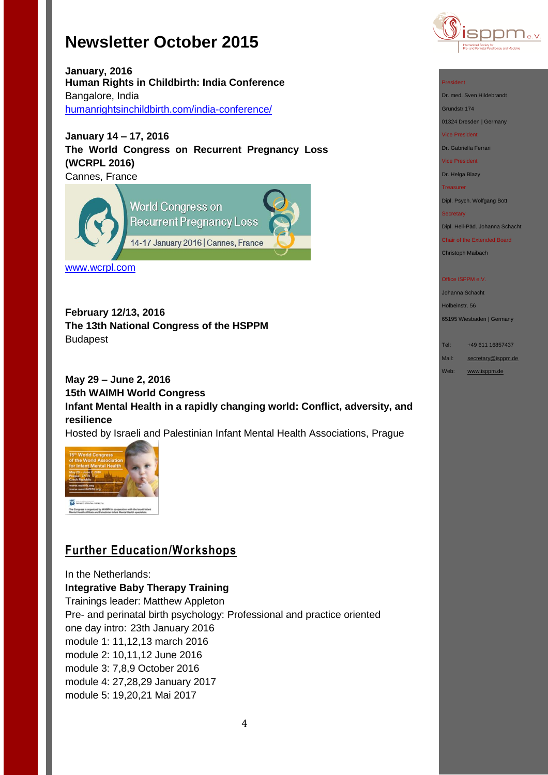

**January, 2016 Human Rights in Childbirth: India Conference** Bangalore, India [humanrightsinchildbirth.com/india-conference/](http://humanrightsinchildbirth.com/india-conference/)

**January 14 – 17, 2016 The World Congress on Recurrent Pregnancy Loss (WCRPL 2016)** Cannes, France

**World Congress on Recurrent Pregnancy Loss** 14-17 January 2016 | Cannes, France

[www.wcrpl.com](http://www.wcrpl.com/)

**February 12/13, 2016 The 13th National Congress of the HSPPM**  Budapest

**May 29 – June 2, 2016 15th WAIMH World Congress Infant Mental Health in a rapidly changing world: Conflict, adversity, and resilience**

Hosted by Israeli and Palestinian Infant Mental Health Associations, Prague



# **Further Education/Workshops**

In the Netherlands:

## **Integrative Baby Therapy Training**

Trainings leader: Matthew Appleton Pre- and perinatal birth psychology: Professional and practice oriented one day intro: 23th January 2016 module 1: 11,12,13 march 2016 module 2: 10,11,12 June 2016 module 3: 7,8,9 October 2016 module 4: 27,28,29 January 2017 module 5: 19,20,21 Mai 2017

Dr. med. Sven Hildebrandt Grundstr.174

01324 Dresden | Germany

Vice President

Dr. Gabriella Ferrari

Vice President

Dr. Helga Blazy

Treasurer

Dipl. Psych. Wolfgang Bott

**Secretary** 

Dipl. Heil-Päd. Johanna Schacht

Chair of the Extended Board Christoph Maibach

#### Office ISPPM e.V

Johanna Schacht Holbeinstr. 56 65195 Wiesbaden | Germany

Tel: +49 611 16857437

Mail: [secretary@isppm.de](mailto:secretary@isppm.de)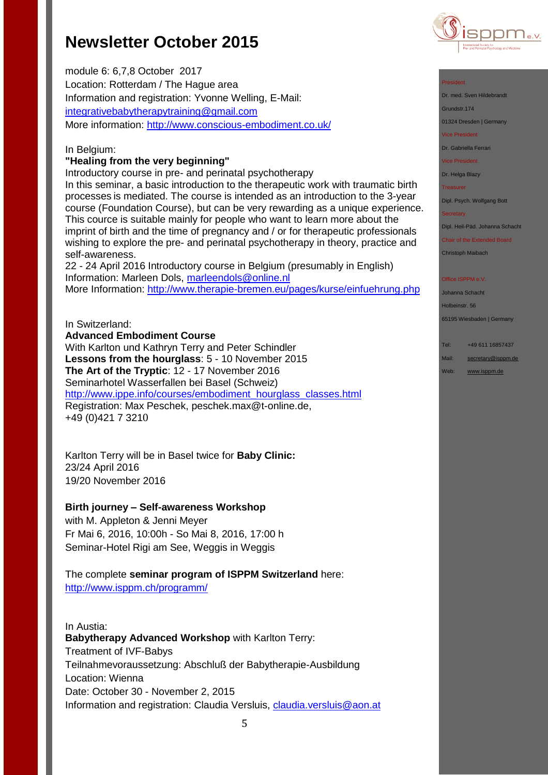module 6: 6,7,8 October 2017 Location: Rotterdam / The Hague area Information and registration: Yvonne Welling, E-Mail: [integrativebabytherapytraining@gmail.com](mailto:integrativebabytherapytraining@gmail.com) More information:<http://www.conscious-embodiment.co.uk/>

### In Belgium:

### **"Healing from the very beginning"**

Introductory course in pre- and perinatal psychotherapy

In this seminar, a basic introduction to the therapeutic work with traumatic birth processes is mediated. The course is intended as an introduction to the 3-year course (Foundation Course), but can be very rewarding as a unique experience. This cource is suitable mainly for people who want to learn more about the imprint of birth and the time of pregnancy and / or for therapeutic professionals wishing to explore the pre- and perinatal psychotherapy in theory, practice and self-awareness.

22 - 24 April 2016 Introductory course in Belgium (presumably in English) Information: Marleen Dols, [marleendols@online.nl](mailto:marleendols@online.nl) More Information:<http://www.therapie-bremen.eu/pages/kurse/einfuehrung.php>

## In Switzerland:

**Advanced Embodiment Course** With Karlton und Kathryn Terry and Peter Schindler **Lessons from the hourglass**: 5 - 10 November 2015 **The Art of the Tryptic**: 12 - 17 November 2016 Seminarhotel Wasserfallen bei Basel (Schweiz) [http://www.ippe.info/courses/embodiment\\_hourglass\\_classes.html](http://www.ippe.info/courses/embodiment_hourglass_classes.html)  Registration: Max Peschek, [peschek.max@t-online.de,](mailto:peschek.max@t-online.de) +49 (0)421 7 3210

Karlton Terry will be in Basel twice for **Baby Clinic:** 23/24 April 2016 19/20 November 2016

## **Birth journey – Self-awareness Workshop**

with M. Appleton & Jenni Meyer Fr Mai 6, 2016, 10:00h - So Mai 8, 2016, 17:00 h Seminar-Hotel Rigi am See, Weggis in Weggis

The complete **seminar program of ISPPM Switzerland** here: <http://www.isppm.ch/programm/>

In Austia: **Babytherapy Advanced Workshop** with Karlton Terry: Treatment of IVF-Babys Teilnahmevoraussetzung: Abschluß der Babytherapie-Ausbildung Location: Wienna Date: October 30 - November 2, 2015 Information and registration: Claudia Versluis, [claudia.versluis@aon.at](mailto:claudia.versluis@aon.at)



### President

Dr. med. Sven Hildebrandt

Grundstr.174

01324 Dresden | Germany

Vice President

Dr. Gabriella Ferrari

Vice President

Dr. Helga Blazy

Treasurer

Dipl. Psych. Wolfgang Bott

**Secretary** 

Dipl. Heil-Päd. Johanna Schacht

Chair of the Extended Board Christoph Maibach

#### Office ISPPM e.V

Johanna Schacht Holbeinstr. 56 65195 Wiesbaden | Germany

Tel: +49 611 16857437

Mail: [secretary@isppm.de](mailto:secretary@isppm.de)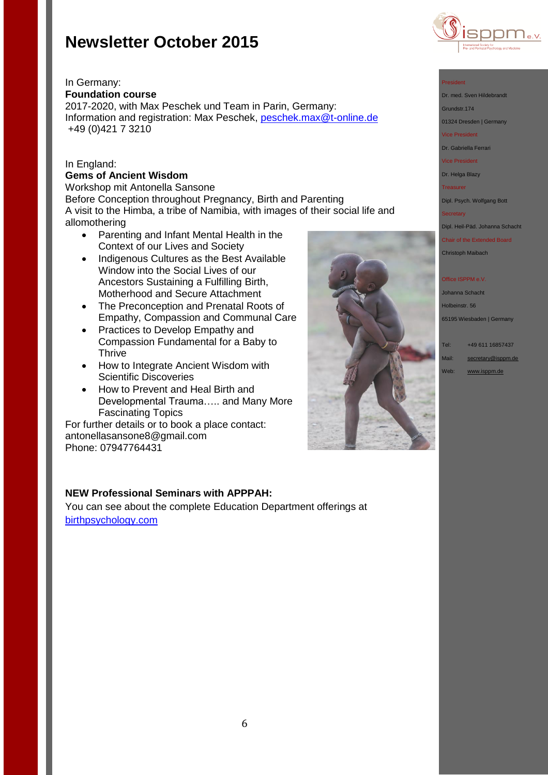

### In Germany: **Foundation course**

2017-2020, with Max Peschek und Team in Parin, Germany: Information and registration: Max Peschek, [peschek.max@t-online.de](mailto:peschek.max@t-online.de) +49 (0)421 7 3210

## In England:

# **Gems of Ancient Wisdom**

Workshop mit Antonella Sansone Before Conception throughout Pregnancy, Birth and Parenting A visit to the Himba, a tribe of Namibia, with images of their social life and allomothering

- Parenting and Infant Mental Health in the Context of our Lives and Society
- Indigenous Cultures as the Best Available Window into the Social Lives of our Ancestors Sustaining a Fulfilling Birth, Motherhood and Secure Attachment
- The Preconception and Prenatal Roots of Empathy, Compassion and Communal Care
- Practices to Develop Empathy and Compassion Fundamental for a Baby to **Thrive**
- How to Integrate Ancient Wisdom with Scientific Discoveries
- How to Prevent and Heal Birth and Developmental Trauma….. and Many More Fascinating Topics

For further details or to book a place contact: [antonellasansone8@gmail.com](mailto:antonellasansone8@gmail.com) Phone: 07947764431

## **NEW Professional Seminars with APPPAH:**

You can see about the complete Education Department offerings at [birthpsychology.com](http://birthpsychology.com/)



#### President

- Dr. med. Sven Hildebrandt
- Grundstr.174
- 01324 Dresden | Germany
- Vice President
- Dr. Gabriella Ferrari
- Vice President
- Dr. Helga Blazy
- Treasurer
- Dipl. Psych. Wolfgang Bott

**Secretary** 

- Dipl. Heil-Päd. Johanna Schacht
- Chair of the Extended Board Christoph Maibach

#### Office ISPPM e.V.

Johanna Schacht Holbeinstr. 56

65195 Wiesbaden | Germany

Tel: +49 611 16857437 Mail: [secretary@isppm.de](mailto:secretary@isppm.de) Web: [www.isppm.de](http://www.isppm.de/)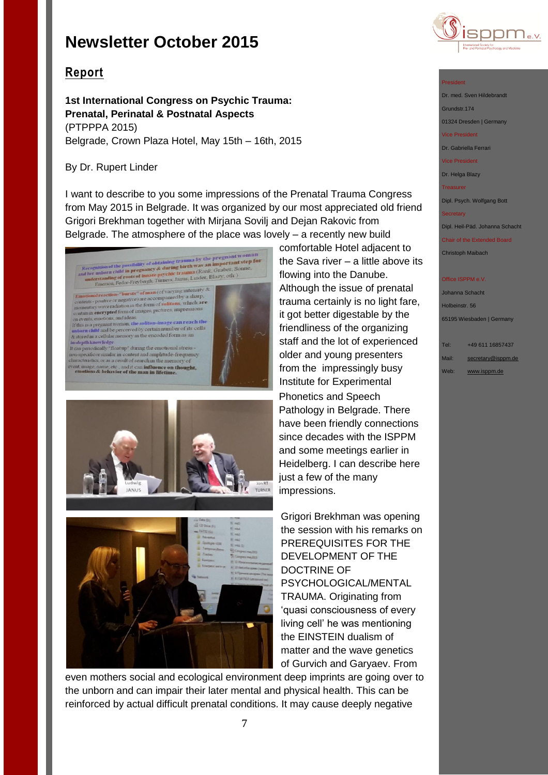

# **Report**

**1st International Congress on Psychic Trauma: Prenatal, Perinatal & Postnatal Aspects** (PTPPPA 2015) Belgrade, Crown Plaza Hotel, May 15th – 16th, 2015

## By Dr. Rupert Linder

I want to describe to you some impressions of the Prenatal Trauma Congress from May 2015 in Belgrade. It was organized by our most appreciated old friend Grigori Brekhman together with Mirjana Sovilj and Dejan Rakovic from Belgrade. The atmosphere of the place was lovely – a recently new build







comfortable Hotel adjacent to the Sava river – a little above its flowing into the Danube. Although the issue of prenatal trauma certainly is no light fare, it got better digestable by the friendliness of the organizing staff and the lot of experienced older and young presenters from the impressingly busy Institute for Experimental Phonetics and Speech Pathology in Belgrade. There have been friendly connections since decades with the ISPPM and some meetings earlier in Heidelberg. I can describe here just a few of the many impressions.

Grigori Brekhman was opening the session with his remarks on PREREQUISITES FOR THE DEVELOPMENT OF THE DOCTRINE OF PSYCHOLOGICAL/MENTAL TRAUMA. Originating from 'quasi consciousness of every living cell' he was mentioning the EINSTEIN dualism of matter and the wave genetics of Gurvich and Garyaev. From

even mothers social and ecological environment deep imprints are going over to the unborn and can impair their later mental and physical health. This can be reinforced by actual difficult prenatal conditions. It may cause deeply negative

## President

Dr. med. Sven Hildebrandt Grundstr.174 01324 Dresden | Germany

Vice President

Dr. Gabriella Ferrari

Vice President

Dr. Helga Blazy

Treasurer

Dipl. Psych. Wolfgang Bott

#### **Secretary**

Dipl. Heil-Päd. Johanna Schacht

Chair of the Extended Board

Christoph Maibach

#### Office ISPPM e.V

Johanna Schacht Holbeinstr. 56 65195 Wiesbaden | Germany

Tel: +49 611 16857437 Mail: [secretary@isppm.de](mailto:secretary@isppm.de) Web: [www.isppm.de](http://www.isppm.de/)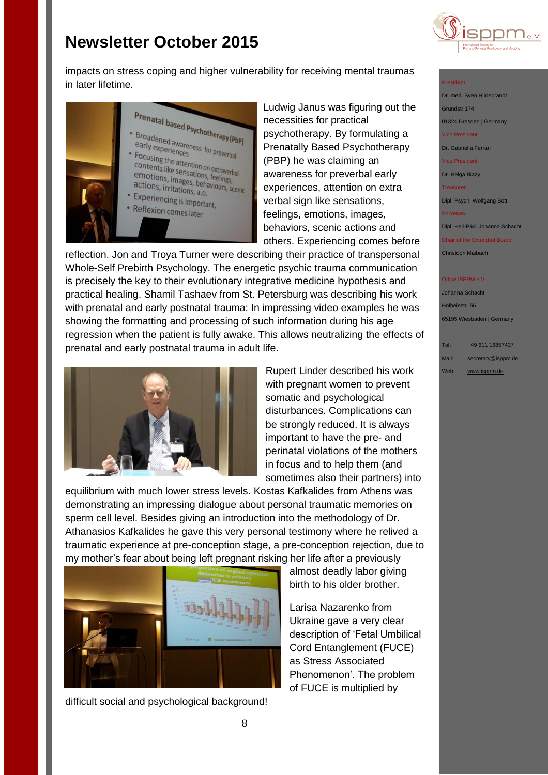

impacts on stress coping and higher vulnerability for receiving mental traumas in later lifetime.



Ludwig Janus was figuring out the necessities for practical psychotherapy. By formulating a Prenatally Based Psychotherapy (PBP) he was claiming an awareness for preverbal early experiences, attention on extra verbal sign like sensations, feelings, emotions, images, behaviors, scenic actions and others. Experiencing comes before

reflection. Jon and Troya Turner were describing their practice of transpersonal Whole-Self Prebirth Psychology. The energetic psychic trauma communication is precisely the key to their evolutionary integrative medicine hypothesis and practical healing. Shamil Tashaev from St. Petersburg was describing his work with prenatal and early postnatal trauma: In impressing video examples he was showing the formatting and processing of such information during his age regression when the patient is fully awake. This allows neutralizing the effects of prenatal and early postnatal trauma in adult life.



Rupert Linder described his work with pregnant women to prevent somatic and psychological disturbances. Complications can be strongly reduced. It is always important to have the pre- and perinatal violations of the mothers in focus and to help them (and sometimes also their partners) into

equilibrium with much lower stress levels. Kostas Kafkalides from Athens was demonstrating an impressing dialogue about personal traumatic memories on sperm cell level. Besides giving an introduction into the methodology of Dr. Athanasios Kafkalides he gave this very personal testimony where he relived a traumatic experience at pre-conception stage, a pre-conception rejection, due to my mother's fear about being left pregnant risking her life after a previously



difficult social and psychological background!

almost deadly labor giving birth to his older brother.

Larisa Nazarenko from Ukraine gave a very clear description of 'Fetal Umbilical Cord Entanglement (FUCE) as Stress Associated Phenomenon'. The problem of FUCE is multiplied by

#### President

Dr. med. Sven Hildebrandt Grundstr.174 01324 Dresden | Germany Vice President Dr. Gabriella Ferrari Vice President

Dr. Helga Blazy

Treasurer

Dipl. Psych. Wolfgang Bott

**Secretary** 

Dipl. Heil-Päd. Johanna Schacht

Chair of the Extended Board Christoph Maibach

#### **Office ISPPM e.V**

Johanna Schacht Holbeinstr. 56 65195 Wiesbaden | Germany

Tel: +49 611 16857437 Mail: [secretary@isppm.de](mailto:secretary@isppm.de)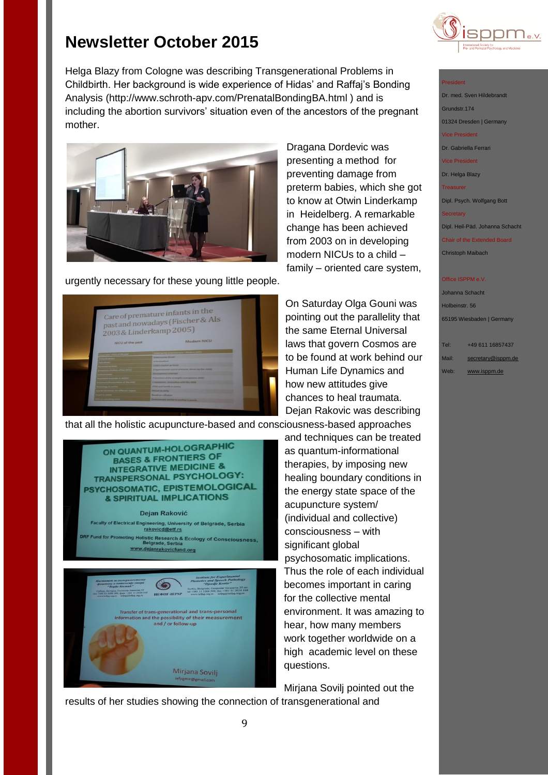

Helga Blazy from Cologne was describing Transgenerational Problems in Childbirth. Her background is wide experience of Hidas' and Raffaj's Bonding Analysis (http://www.schroth-apv.com/PrenatalBondingBA.html ) and is including the abortion survivors' situation even of the ancestors of the pregnant mother.



urgently necessary for these young little people.



Dragana Dordevic was presenting a method for preventing damage from preterm babies, which she got to know at Otwin Linderkamp in Heidelberg. A remarkable change has been achieved from 2003 on in developing modern NICUs to a child – family – oriented care system,

On Saturday Olga Gouni was pointing out the parallelity that the same Eternal Universal laws that govern Cosmos are to be found at work behind our Human Life Dynamics and how new attitudes give chances to heal traumata. Dejan Rakovic was describing

that all the holistic acupuncture-based and consciousness-based approaches and techniques can be treated as quantum-informational therapies, by imposing new healing boundary conditions in the energy state space of the acupuncture system/ (individual and collective) consciousness – with significant global psychosomatic implications. Thus the role of each individual becomes important in caring for the collective mental environment. It was amazing to hear, how many members work together worldwide on a high academic level on these

Mirjana Sovilj pointed out the



results of her studies showing the connection of transgenerational and



### President

Dr. med. Sven Hildebrandt Grundstr.174 01324 Dresden | Germany Vice President Dr. Gabriella Ferrari Vice President Dr. Helga Blazy Treasurer Dipl. Psych. Wolfgang Bott **Secretary** Dipl. Heil-Päd. Johanna Schacht

Chair of the Extended Board Christoph Maibach

#### Office ISPPM e.V

Johanna Schacht Holbeinstr. 56 65195 Wiesbaden | Germany

Tel: +49 611 16857437 Mail: [secretary@isppm.de](mailto:secretary@isppm.de) Web: [www.isppm.de](http://www.isppm.de/)

ON QUANTUM-HOLOGRAPHIC BASES & FRONTIERS OF **INTEGRATIVE MEDICINE &** TRANSPERSONAL PSYCHOLOGY: PSYCHOSOMATIC, EPISTEMOLOGICAL & SPIRITUAL IMPLICATIONS Dejan Raković Faculty of Electrical Engineering, University of Belgrade, Serbia<br>rakovicd@etf.rs d for Promoting Holistic Research & Ecology of Consciousness,<br>Belgrade, Serbia<br><u>www.dejanrakovicfund.org</u> crozniy za  $\circledast$ **WEBULLTEPSP** Transfer of trans-generational and trans-personal<br>formation and the possibility of their measurement and / or follow-up